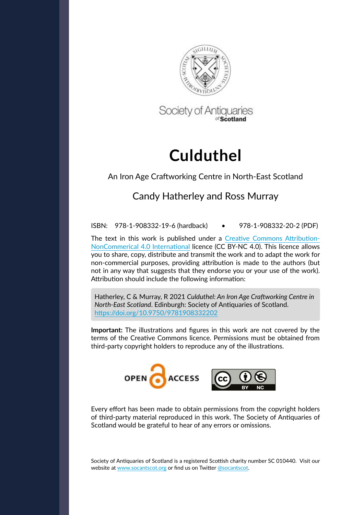

Society of Antiquaries

# **Culduthel**

### An Iron Age Craftworking Centre in North-East Scotland

## Candy Hatherley and Ross Murray

ISBN: 978-1-908332-19-6 (hardback) • 978-1-908332-20-2 (PDF)

The text in this work is published under a [Creative Commons Attribution-](https://creativecommons.org/licenses/by-nc/4.0/)[NonCommerical 4.0 International licence \(CC BY-NC 4.0\).](https://creativecommons.org/licenses/by-nc/4.0/) This licence allows you to share, copy, distribute and transmit the work and to adapt the work for non-commercial purposes, providing attribution is made to the authors (but not in any way that suggests that they endorse you or your use of the work). Attribution should include the following information:

Hatherley, C & Murray, R 2021 *Culduthel: An Iron Age Craftworking Centre in North-East Scotland*. Edinburgh: Society of Antiquaries of Scotland. [https://doi.org/10.9750/](https://doi.org/10.9750/9781908332202)9781908332202

**Important:** The illustrations and figures in this work are not covered by the terms of the Creative Commons licence. Permissions must be obtained from third-party copyright holders to reproduce any of the illustrations.



[Every effort has been made to obtain permissions from the copyright holders](http://Every effort has been made to contact the copyright holders for all third-party material reproduced in this volume. The Society of Antiquaries of Scotland would be grateful to hear of any errors or omissions.  ) [of third-party material reproduced in this work. The Society of Antiquaries of](http://Every effort has been made to contact the copyright holders for all third-party material reproduced in this volume. The Society of Antiquaries of Scotland would be grateful to hear of any errors or omissions.  ) [Scotland would be grateful to hear of any errors or omissions.](http://Every effort has been made to contact the copyright holders for all third-party material reproduced in this volume. The Society of Antiquaries of Scotland would be grateful to hear of any errors or omissions.  ) 

Society of Antiquaries of Scotland is a registered Scottish charity number SC 010440. Visit our website at [www.socantscot.org](http://www.socantscot.org) or find us on Twitter [@socantscot.](https://twitter.com/socantscot)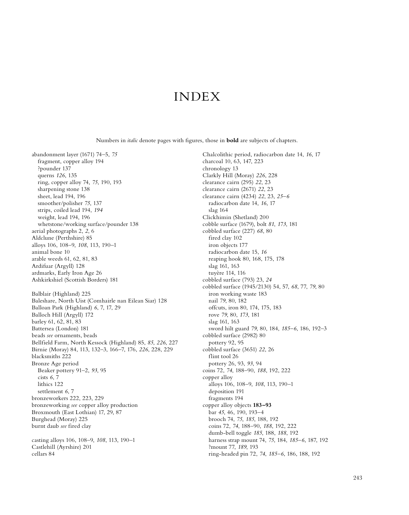## INDEX

Numbers in *italic* denote pages with figures, those in **bold** are subjects of chapters.

abandonment layer (1671) 74–5, *75* fragment, copper alloy 194 ?pounder 137 querns *126*, 135 ring, copper alloy 74, *75*, 190, 193 sharpening stone 138 sheet, lead 194, 196 smoother/polisher *75*, 137 strips, coiled lead 194, *194* weight, lead 194, 196 whetstone/working surface/pounder 138 aerial photographs 2, *2*, 6 Aldclune (Perthshire) 85 alloys 106, 108–9, *108*, 113, 190–1 animal bone 10 arable weeds 61, 62, 81, 83 Ardifuar (Argyll) 128 ardmarks, Early Iron Age 26 Ashkirkshiel (Scottish Borders) 181 Balblair (Highland) 225 Baleshare, North Uist (Comhairle nan Eilean Siar) 128 Balloan Park (Highland) *6*, 7, 17, 29 Balloch Hill (Argyll) 172 barley 61, 62, 81, 83 Battersea (London) 181 beads *see* ornaments, beads Bellfield Farm, North Kessock (Highland) 85, *85*, *226*, 227 Birnie (Moray) 84, 113, 132–3, 166–7, 176, *226*, 228, 229 blacksmiths 222 Bronze Age period Beaker pottery 91–2, *93*, 95 cists *6*, 7 lithics 122 settlement *6*, 7 bronzeworkers 222, 223, 229 bronzeworking *see* copper alloy production Broxmouth (East Lothian) 17, 29, 87 Burghead (Moray) 225 burnt daub *see* fired clay

casting alloys 106, 108–9, *108*, 113, 190–1 Castlehill (Ayrshire) 201 cellars 84

Chalcolithic period, radiocarbon date 14, *16*, 17 charcoal 10, 63, 147, 223 chronology 13 Clarkly Hill (Moray) *226*, 228 clearance cairn (295) *22*, 23 clearance cairn (2671) *22*, 23 clearance cairn (4234) *22*, 23, *25–6* radiocarbon date 14, *16*, 17 slag 164 Clickhimin (Shetland) 200 cobble surface (1679), bolt *81*, *173*, 181 cobbled surface (227) *68*, 80 fired clay 102 iron objects 177 radiocarbon date 15, *16* reaping hook 80, 168, 175, 178 slag 161, 163 tuyère 114, 116 cobbled surface (793) 23, *24* cobbled surface (1945/2130) 54, 57, *68*, 77, *79*, 80 iron working waste 183 nail *79*, 80, 182 offcuts, iron 80, 174, 175, 183 rove *79*, 80, *173*, 181 slag 161, 163 sword hilt guard *79*, 80, 184, *185–6*, 186, 192–3 cobbled surface (2982) 80 pottery 92, 95 cobbled surface (3651) *22*, 26 flint tool 26 pottery 26, 93, *93*, 94 coins 72, *74*, 188–90, *188*, 192, 222 copper alloy alloys 106, 108–9, *108*, 113, 190–1 deposition 191 fragments 194 copper alloy objects **183–93** bar *45*, 46, 190, 193–4 brooch 74, *75*, *185*, 188, 192 coins 72, *74*, 188–90, *188*, 192, 222 dumb-bell toggle *185*, 188, *188*, 192 harness strap mount 74, *75*, 184, *185–6*, 187, 192 ?mount 77, *189*, 193 ring-headed pin 72, *74*, *185–6*, 186, 188, 192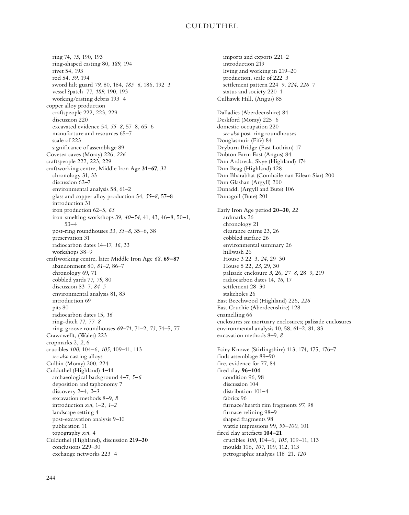ring 74, *75*, 190, 193 ring-shaped casting 80, *189*, 194 rivet 54, 193 rod 54, *59*, 194 sword hilt guard *79*, 80, 184, *185–6*, 186, 192–3 vessel ?patch 77, *189*, 190, 193 working/casting debris 193–4 copper alloy production craftspeople 222, 223, 229 discussion 220 excavated evidence 54, *55–8*, 57–8, 65–6 manufacture and resources 65–7 scale of 223 significance of assemblage 89 Covesea caves (Moray) 226, *226* craftspeople 222, 223, 229 craftworking centre, Middle Iron Age **31–67**, *32* chronology 31, 33 discussion 62–7 environmental analysis 58, 61–2 glass and copper alloy production 54, *55–8*, 57–8 introduction 31 iron production 62–5, *63* iron-smelting workshops 39, *40–54*, 41, 43, 46–8, 50–1, 53–4 post-ring roundhouses 33, *33–8*, 35–6, 38 preservation 31 radiocarbon dates 14–17, *16*, 33 workshops 38–9 craftworking centre, later Middle Iron Age *68*, **69–87** abandonment 80, *81–2*, 86–7 chronology 69, 71 cobbled yards 77, *79*, 80 discussion 83–7, *84–5* environmental analysis 81, 83 introduction 69 pits 80 radiocarbon dates 15, *16* ring-ditch 77, *77–8* ring-groove roundhouses *69–71*, 71–2, *73*, 74–5, 77 Crawcwellt, (Wales) 223 cropmarks 2, *2*, 6 crucibles *100*, 104–6, *105*, 109–11, 113 *see also* casting alloys Culbin (Moray) 200, 224 Culduthel (Highland) **1–11** archaeological background 4–7, *5–6* deposition and taphonomy 7 discovery 2–4, *2–3* excavation methods 8–9, *8* introduction *xvi*, 1–2, *1–2* landscape setting 4 post-excavation analysis 9–10 publication 11 topography *xvi*, 4 Culduthel (Highland), discussion **219–30** conclusions 229–30 exchange networks 223–4

imports and exports 221–2 introduction 219 living and working in 219–20 production, scale of 222–3 settlement pattern 224–9, *224*, *226–7* status and society 220–1 Culhawk Hill, (Angus) 85 Dalladies (Aberdeenshire) 84 Deskford (Moray) 225–6 domestic occupation 220 *see also* post-ring roundhouses Douglasmuir (Fife) 84 Dryburn Bridge (East Lothian) 17 Dubton Farm East (Angus) 84 Dun Ardtreck, Skye (Highland) 174 Dun Beag (Highland) 128 Dun Bharabhat (Comhaile nan Eilean Siar) 200 Dun Glashan (Argyll) 200 Dunadd, (Argyll and Bute) 106 Dunagoil (Bute) 201 Early Iron Age period **20–30**, *22* ardmarks 26 chronology 21 clearance cairns 23, 26 cobbled surface 26 environmental summary 26 hillwash 26 House 3 22–3, *24*, 29–30 House 5 22, *23*, 29, 30 palisade enclosure *3*, 26, *27–8*, 28–9, 219 radiocarbon dates 14, *16*, 17 settlement 28–30 stakeholes 26 East Beechwood (Highland) 226, *226* East Cruchie (Aberdeenshire) 128 enamelling 66 enclosures *see* mortuary enclosures; palisade enclosures environmental analysis 10, 58, 61–2, 81, 83 excavation methods 8–9, *8* Fairy Knowe (Stirlingshire) 113, 174, 175, 176–7 finds assemblage 89–90 fire, evidence for 77, 84 fired clay **96–104** condition 96, 98 discussion 104 distribution 101–4 fabrics 96 furnace/hearth rim fragments *97*, 98 furnace relining 98–9 shaped fragments 98 wattle impressions 99, *99–100*, 101 fired clay artefacts **104–21** crucibles *100*, 104–6, *105*, 109–11, 113 moulds 106, *107*, 109, 112, 113 petrographic analysis 118–21, *120*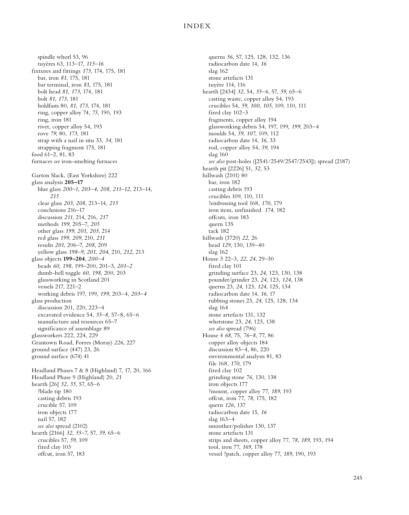spindle whorl 53, 96 tuyères 63, 113–17, *115–16* fixtures and fittings *173*, 174, 175, 181 bar, iron *81*, 175, 181 bar terminal, iron *81*, 175, 181 bolt head *81*, *173*, 174, 181 bolt *81*, *173*, 181 holdfasts 80, *81*, *173*, 174, 181 ring, copper alloy 74, *75*, 190, 193 ring, iron 181 rivet, copper alloy 54, 193 rove *79*, 80, *173*, 181 strap with a nail in situ 33, *34*, 181 strapping fragment 175, 181 food 61–2, 81, 83 furnaces *see* iron-smelting furnaces Garton Slack, (East Yorkshire) 222 glass analysis **205–17** blue glass *200–1*, *203–4*, *208*, *211–12*, 213–14, *215* clear glass *203*, *208*, 213–14, *215* conclusions 216–17 discussion *211*, 214, 216, *217* methods *199*, 205–7, *205* other glass *199*, *201*, *203*, 214 red glass *199*, *209*, 210, *211* results *201*, 206–7, *208*, 209 yellow glass *198–9*, *201*, *204*, 210, *212*, 213 glass objects **199–204**, *200–4* beads *60*, *198*, 199–200, 201–3, *201–2* dumb-bell toggle *60*, *198*, 200, 203 glassworking in Scotland 201 vessels 217, 221–2 working debris 197, 199, *199*, 203–4, *203–4* glass production discussion 201, 220, 223–4 excavated evidence 54, *55–8*, 57–8, 65–6 manufacture and resources 65–7 significance of assemblage 89 glassworkers 222, 224, 229 Grantown Road, Forres (Moray) *226*, 227 ground surface (447) 23, 26 ground surface (674) 41 Headland Phases 7 & 8 (Highland) 7, 17, 20, 166 Headland Phase 9 (Highland) 20, *21* hearth [26] *32*, *55*, 57, 65–6 ?blade tip 180 casting debris 193 crucible 57, 109 iron objects 177 nail 57, 182 *see also* spread (2102) hearth [2166] *32*, *55–7*, 57, *59*, 65–6 crucibles 57, *59*, 109 fired clay 103 offcut, iron 57, 183

querns *56*, 57, 125, 128, 132, 136 radiocarbon date 14, *16* slag 162 stone artefacts 131 tuyère 114, 116 hearth [2434] *32*, 54, *55–6*, 57, *59*, 65–6 casting waste, copper alloy 54, 193 crucibles 54, *59*, *100*, *105*, 109, 110, 111 fired clay 102–3 fragments, copper alloy 194 glassworking debris 54, 197, 199, *199*, 203–4 moulds 54, *59*, *107*, 109, 112 radiocarbon date 14, *16*, 33 rod, copper alloy 54, *59*, 194 slag 160 *see also* post-holes ([2541/2549/2547/2543]); spread (2187) hearth pit [2226] 51, *52*, 53 hillwash (2101) 80 bar, iron 182 casting debris 193 crucibles 109, 110, 111 ?embossing tool 168, *170*, 179 iron item, unfinished *174*, 182 offcuts, iron 183 quern 135 tack 182 hillwash (3720) *22*, 26 bead *129*, 130, 139–40 slag 162 House 3 22–3, *22*, *24*, 29–30 fired clay 101 grinding surface 23, *24*, 123, 130, 138 pounder/grinder 23, *24*, 123, *124*, 138 querns 23, *24*, 123, *124*, 125, 134 radiocarbon date 14, *16*, 17 rubbing stones 23, *24*, 125, 128, 134 slag 164 stone artefacts 131, 132 whetstone 23, *24*, 123, 138 *see also* spread (796) House 4 *68*, 75, *76–8*, 77, 86 copper alloy objects 184 discussion 83–4, 86, 220 environmental analysis 81, 83 file 168, *170*, 179 fired clay 102 grinding stone *76*, 130, 138 iron objects 177 ?mount, copper alloy 77, *189*, 193 offcut, iron 77, *78*, 175, 182 quern *126*, 137 radiocarbon date 15, *16* slag 163–4 smoother/polisher 130, 137 stone artefacts 131 strips and sheets, copper alloy 77, *78*, *189*, 193, 194 tool, iron 77, *169*, 178 vessel ?patch, copper alloy 77, *189*, 190, 193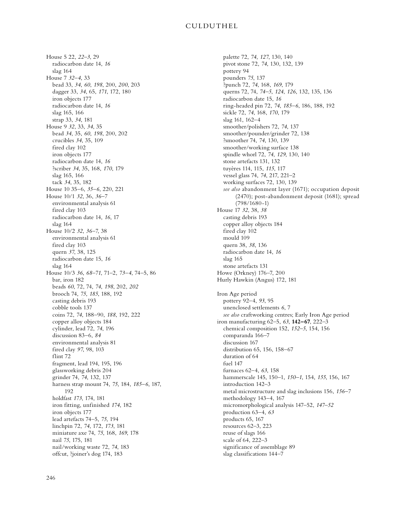House 5 22, *22–3*, 29 radiocarbon date 14, *16* slag 164 House 7 *32–4*, 33 bead 33, *34*, *60*, *198*, 200, *200*, 203 dagger 33, *34*, 65, *171*, 172, 180 iron objects 177 radiocarbon date 14, *16* slag 165, 166 strap 33, *34*, 181 House 9 *32*, 33, *34*, 35 bead *34*, 35, *60*, *198*, 200, 202 crucibles *34*, 35, 109 fired clay 102 iron objects 177 radiocarbon date 14, *16* ?scriber *34*, 35, 168, *170*, 179 slag 165, 166 tack *34*, 35, 182 House 10 35–6, *35–6*, 220, 221 House 10/1 *32*, 36, *36–7* environmental analysis 61 fired clay 103 radiocarbon date 14, *16*, 17 slag 164 House 10/2 *32*, *36–7*, 38 environmental analysis 61 fired clay 103 quern *37*, 38, 125 radiocarbon date 15, *16* slag 164 House 10/3 *36*, *68–71*, 71–2, *73–4*, 74–5, 86 bar, iron 182 beads *60*, 72, 74, *74*, *198*, 202, *202* brooch 74, *75*, *185*, 188, 192 casting debris 193 cobble tools 137 coins 72, *74*, 188–90, *188*, 192, 222 copper alloy objects 184 cylinder, lead 72, *74*, 196 discussion 83–6, *84* environmental analysis 81 fired clay *97*, 98, 103 flint 72 fragment, lead 194, 195, 196 glassworking debris 204 grinder 74, *74*, 132, 137 harness strap mount 74, *75*, 184, *185–6*, 187, 192 holdfast *173*, 174, 181 iron fitting, unfinished *174*, 182 iron objects 177 lead artefacts 74–5, *75*, 194 linchpin 72, *74*, 172, *173*, 181 miniature axe 74, *75*, 168, *169*, 178 nail *75*, 175, 181 nail/working waste 72, *74*, 183 offcut, ?joiner's dog 174, 183

palette 72, *74*, *127*, 130, 140 pivot stone 72, *74*, 130, 132, 139 pottery 94 pounders *75*, 137 ?punch 72, *74*, 168, *169*, 179 querns 72, 74, *74–5*, *124*, *126*, 132, 135, 136 radiocarbon date 15, *16* ring-headed pin 72, *74*, *185–6*, 186, 188, 192 sickle 72, *74*, 168, *170*, 179 slag 161, 162–4 smoother/polishers 72, *74*, 137 smoother/pounder/grinder 72, 138 ?smoother 74, *74*, 130, 139 smoother/working surface 138 spindle whorl 72, *74*, *129*, 130, 140 stone artefacts 131, 132 tuyères 114, 115, *115*, 117 vessel glass 74, *74*, 217, 221–2 working surfaces 72, 130, 139 *see also* abandonment layer (1671); occupation deposit (2470); post-abandonment deposit (1681); spread (798/1680-1) House 17 *32*, 38, *38* casting debris 193 copper alloy objects 184 fired clay 102 mould 109 quern 38, *38*, 136 radiocarbon date 14, *16* slag 165 stone artefacts 131 Howe (Orkney) 176–7, 200 Hurly Hawkin (Angus) 172, 181 Iron Age period pottery 92–4, *93*, 95 unenclosed settlements *6*, 7 *see also* craftworking centres; Early Iron Age period iron manufacturing 62–5, *63*, **142–67**, 222–3 chemical composition 152, *152–5*, 154, 156 comparanda 166–7 discussion 167 distribution 65, 156, 158–67 duration of 64 fuel 147 furnaces 62–4, *63*, 158 hammerscale 145, 150–1, *150–1*, 154, *155*, 156, 167 introduction 142–3 metal microstructure and slag inclusions 156, *156–7* methodology 143–4, 167 micromorphological analysis 147–52, *147–52* production 63–4, *63* products 65, 167 resources 62–3, 223 reuse of slags 166 scale of 64, 222–3 significance of assemblage 89 slag classifications 144–7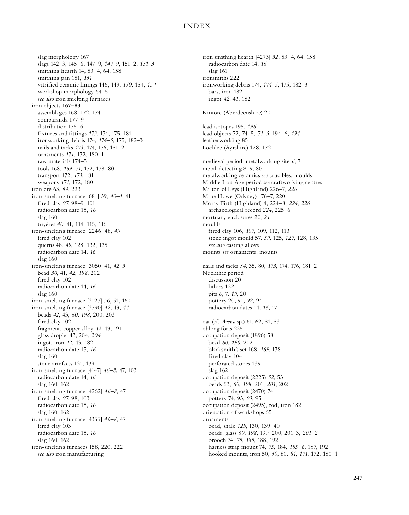slag morphology 167 slags 142–3, 145–6, 147–9, *147–9*, 151–2, *151–3* smithing hearth 14, 53–4, 64, 158 smithing pan 151, *151* vitrified ceramic linings 146, 149, *150*, 154, *154* workshop morphology 64–5 *see also* iron smelting furnaces iron objects **167–83** assemblages 168, 172, 174 comparanda 177–9 distribution 175–6 fixtures and fittings *173*, 174, 175, 181 ironworking debris 174, *174–5*, 175, 182–3 nails and tacks *173*, 174, 176, 181–2 ornaments *171*, 172, 180–1 raw materials 174–5 tools 168, *169–71*, 172, 178–80 transport 172, *173*, 181 weapons *171*, 172, 180 iron ore 63, 89, 223 iron-smelting furnace [681] 39, *40–1*, 41 fired clay *97*, 98–9, 101 radiocarbon date 15, *16* slag 160 tuyères *40*, 41, 114, 115, 116 iron-smelting furnace [2246] 48, *49* fired clay 102 querns 48, *49*, 128, 132, 135 radiocarbon date 14, *16* slag 160 iron-smelting furnace [3050] 41, *42–3* bead *30*, 41, *42*, *198*, 202 fired clay 102 radiocarbon date 14, *16* slag 160 iron-smelting furnace [3127] *50*, 51, 160 iron-smelting furnace [3790] *42*, 43, *44* beads *42*, 43, *60*, *198*, 200, 203 fired clay 102 fragment, copper alloy *42*, 43, 191 glass droplet 43, 204, *204* ingot, iron *42*, 43, 182 radiocarbon date 15, *16* slag 160 stone artefacts 131, 139 iron-smelting furnace [4147] *46–8*, 47, 103 radiocarbon date 14, *16* slag 160, 162 iron-smelting furnace [4262] *46–8*, 47 fired clay *97*, 98, 103 radiocarbon date 15, *16* slag 160, 162 iron-smelting furnace [4355] *46–8*, 47 fired clay 103 radiocarbon date 15, *16* slag 160, 162 iron-smelting furnaces 158, 220, 222 *see also* iron manufacturing

iron smithing hearth [4273] *32*, 53–4, 64, 158 radiocarbon date 14, *16* slag 161 ironsmiths 222 ironworking debris 174, *174–5*, 175, 182–3 bars, iron 182 ingot *42*, 43, 182 Kintore (Aberdeenshire) 20 lead isotopes 195, *196* lead objects 72, 74–5, *74–5*, 194–6, *194* leatherworking 85 Lochlee (Ayrshire) 128, 172 medieval period, metalworking site *6*, 7 metal-detecting 8–9, 80 metalworking ceramics *see* crucibles; moulds Middle Iron Age period *see* craftworking centres Milton of Leys (Highland) 226–7, *226* Mine Howe (Orkney) 176–7, 220 Moray Firth (Highland) 4, 224–8, *224*, *226* archaeological record *224*, 225–6 mortuary enclosures 20, *21* moulds fired clay 106, *107*, 109, 112, 113 stone ingot mould 57, *59*, 125, *127*, 128, 135 *see also* casting alloys mounts *see* ornaments, mounts nails and tacks *34*, 35, 80, *173*, 174, 176, 181–2 Neolithic period discussion 20 lithics 122 pits *6*, 7, *19*, 20 pottery 20, 91, *92*, 94 radiocarbon dates 14, *16*, 17 oat (cf. *Avena* sp.) 61, 62, 81, 83 oblong forts 225 occupation deposit (1896) 58 bead *60*, *198*, 202 blacksmith's set 168, *169*, 178 fired clay 104 perforated stones 139 slag 162 occupation deposit (2225) *52*, 53 beads 53, *60*, *198*, 201, *201*, 202 occupation deposit (2470) 74 pottery 74, 93, *93*, 95 occupation deposit (2495), rod, iron 182 orientation of workshops 65 ornaments bead, shale *129*, 130, 139–40 beads, glass *60*, *198*, 199–200, 201–3, *201–2* brooch 74, *75*, *185*, 188, 192 harness strap mount 74, *75*, 184, *185–6*, 187, 192 hooked mounts, iron 50, *50*, 80, *81*, *171*, 172, 180–1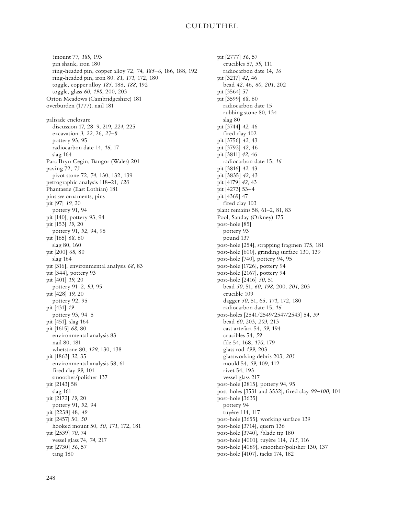?mount 77, *189*, 193 pin shank, iron 180 ring-headed pin, copper alloy 72, *74*, *185–6*, 186, 188, 192 ring-headed pin, iron 80, *81*, *171*, 172, 180 toggle, copper alloy *185*, 188, *188*, 192 toggle, glass *60*, *198*, 200, 203 Orton Meadows (Cambridgeshire) 181 overburden (1777), nail 181 palisade enclosure discussion 17, 28–9, 219, *224*, 225 excavation *3*, *22*, 26, *27–8* pottery 93, 95 radiocarbon date 14, *16*, 17 slag 164 Parc Bryn Cegin, Bangor (Wales) 201 paving 72, *73* pivot stone 72, *74*, 130, 132, 139 petrographic analysis 118–21, *120* Phantassie (East Lothian) 181 pins *see* ornaments, pins pit [97] *19*, 20 pottery 91, 94 pit [140], pottery 93, 94 pit [153] *19*, 20 pottery 91, *92*, 94, 95 pit [185] *68*, 80 slag 80, 160 pit [200] *68*, 80 slag 164 pit [316], environmental analysis *68*, 83 pit [344], pottery 93 pit [401] *19*, 20 pottery 91–2, *93*, 95 pit [428] *19*, 20 pottery 92, 95 pit [431] *19* pottery 93, 94–5 pit [451], slag 164 pit [1615] *68*, 80 environmental analysis 83 nail 80, 181 whetstone 80, *129*, 130, 138 pit [1863] *32*, 35 environmental analysis 58, 61 fired clay *99*, 101 smoother/polisher 137 pit [2143] 58 slag 161 pit [2172] *19*, 20 pottery 91, *92*, 94 pit [2238] 48, *49* pit [2457] 50, *50* hooked mount 50, *50*, *171*, 172, 181 pit [2539] *70*, 74 vessel glass 74, *74*, 217 pit [2730] *56*, 57 tang 180

pit [2777] *56*, 57 crucibles 57, *59*, 111 radiocarbon date 14, *16* pit [3217] *42*, 46 bead *42*, 46, *60*, *201*, 202 pit [3564] 57 pit [3599] *68*, 80 radiocarbon date 15 rubbing stone 80, 134 slag 80 pit [3744] *42*, 46 fired clay 102 pit [3756] *42*, 43 pit [3792] *42*, 46 pit [3811] *42*, 46 radiocarbon date 15, *16* pit [3816] *42*, 43 pit [3835] *42*, 43 pit [4179] *42*, 43 pit [4273] 53–4 pit [4369] 47 fired clay 103 plant remains 58, 61–2, 81, 83 Pool, Sanday (Orkney) 175 post-hole [85] pottery 93 pound 137 post-hole [254], strapping fragmen 175, 181 post-hole [600], grinding surface 130, 139 post-hole [740], pottery 94, 95 post-hole [1726], pottery 94 post-hole [2167], pottery 94 post-hole [2416] *50*, 51 bead *50*, 51, *60*, *198*, 200, *201*, 203 crucible 109 dagger *50*, 51, 65, *171*, 172, 180 radiocarbon date 15, *16* post-holes [2541/2549/2547/2543] 54, *59* bead *60*, 203, *203*, 213 cast artefact 54, *59*, 194 crucibles 54, *59* file 54, 168, *170*, 179 glass rod *199*, 203 glassworking debris 203, *203* mould 54, *59*, 109, 112 rivet 54, 193 vessel glass 217 post-hole [2815], pottery 94, 95 post-holes [3531 and 3532], fired clay *99–100*, 101 post-hole [3635] pottery 94 tuyère 114, 117 post-hole [3655], working surface 139 post-hole [3714], quern 136 post-hole [3740], ?blade tip 180 post-hole [4001], tuyère 114, *115*, 116 post-hole [4089], smoother/polisher 130, 137 post-hole [4107], tacks 174, 182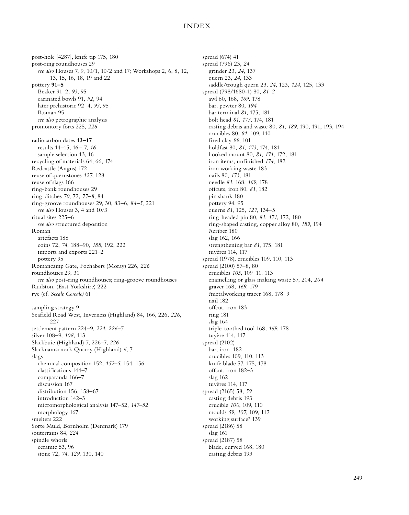post-hole [4287], knife tip 175, 180 post-ring roundhouses 29 *see also* Houses 7, 9, 10/1, 10/2 and 17; Workshops 2, 6, 8, 12, 13, 15, 16, 18, 19 and 22 pottery **91–5** Beaker 91–2, *93*, 95 carinated bowls 91, *92*, 94 later prehistoric 92–4, *93*, 95 Roman 95 *see also* petrographic analysis promontory forts 225, *226* radiocarbon dates **13–17** results 14–15, 16–17, *16* sample selection 13, 16 recycling of materials 64, 66, 174 Redcastle (Angus) 172 reuse of quernstones *127*, 128 reuse of slags 166 ring-bank roundhouses 29 ring-ditches *70*, 72, *77–8*, 84 ring-groove roundhouses 29, 30, 83–6, *84–5*, 221 *see also* Houses 3, 4 and 10/3 ritual sites 225–6 *see also* structured deposition Roman artefacts 188 coins 72, *74*, 188–90, *188*, 192, 222 imports and exports 221–2 pottery 95 Romancamp Gate, Fochabers (Moray) 226, *226* roundhouses 29, 30 *see also* post-ring roundhouses; ring-groove roundhouses Rudston, (East Yorkshire) 222 rye (cf. *Secale Cereale)* 61 sampling strategy 9 Seafield Road West, Inverness (Highland) 84, 166, 226, *226*, 227 settlement pattern 224–9, *224*, *226–7* silver 108–9, *108*, 113 Slackbuie (Highland) 7, 226–7, *226* Slacknamarnock Quarry (Highland) *6*, 7 slags chemical composition 152, *152–5*, 154, 156 classifications 144–7 comparanda 166–7 discussion 167 distribution 156, 158–67 introduction 142–3 micromorphological analysis 147–52, *147–52* morphology 167 smelters 222 Sorte Muld, Bornholm (Denmark) 179 souterrains 84, *224* spindle whorls ceramic 53, 96 stone 72, *74*, *129*, 130, 140

spread (674) 41 spread (796) 23, *24* grinder 23, *24*, 137 quern 23, *24*, 133 saddle/trough quern 23, *24*, 123, *124*, 125, 133 spread (798/1680-1) 80, *81–2* awl 80, 168, *169*, 178 bar, pewter 80, *194* bar terminal *81*, 175, 181 bolt head *81*, *173*, 174, 181 casting debris and waste 80, *81*, *189*, 190, 191, 193, 194 crucibles 80, *81*, 109, 110 fired clay *99*, 101 holdfast 80, *81*, *173*, 174, 181 hooked mount 80, *81*, *171*, 172, 181 iron items, unfinished *174*, 182 iron working waste 183 nails 80, *173*, 181 needle *81*, 168, *169*, 178 offcuts, iron 80, *81*, 182 pin shank 180 pottery 94, 95 querns *81*, 125, *127*, 134–5 ring-headed pin 80, *81*, *171*, 172, 180 ring-shaped casting, copper alloy 80, *189*, 194 ?scriber 180 slag 162, 166 strengthening bar *81*, 175, 181 tuyères 114, 117 spread (1978), crucibles 109, 110, 113 spread (2100) 57–8, 80 crucibles *105*, 109–11, 113 enamelling or glass making waste 57, 204, *204* graver 168, *169*, 179 ?metalworking tracer 168, 178–9 nail 182 offcut, iron 183 ring 181 slag 164 triple-toothed tool 168, *169*, 178 tuyère 114, 117 spread (2102) bar, iron 182 crucibles 109, 110, 113 knife blade 57, 175, 178 offcut, iron 182–3 slag 162 tuyères 114, 117 spread (2165) 58, *59* casting debris 193 crucible *100*, 109, 110 moulds *59*, *107*, 109, 112 working surface? 139 spread (2186) 58 slag 161 spread (2187) 58 blade, curved 168, 180 casting debris 193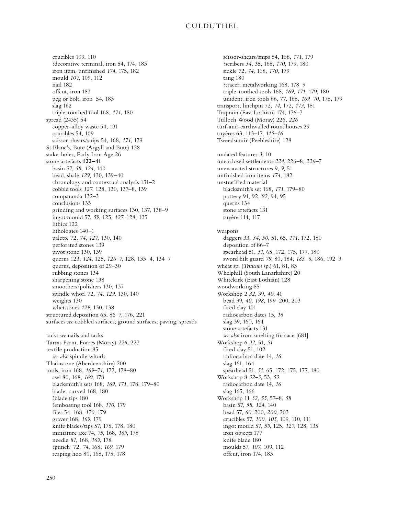crucibles 109, 110 ?decorative terminal, iron 54, 174, 183 iron item, unfinished *174*, 175, 182 mould *107*, 109, 112 nail 182 offcut, iron 183 peg or bolt, iron 54, 183 slag 162 triple-toothed tool 168, *171*, 180 spread (2435) 54 copper-alloy waste 54, 191 crucibles 54, 109 scissor-shears/snips 54, 168, *171*, 179 St Blane's, Bute (Argyll and Bute) 128 stake-holes, Early Iron Age 26 stone artefacts **122–41** basin 57, *58*, *124*, 140 bead, shale *129*, 130, 139–40 chronology and contextual analysis 131–2 cobble tools *127*, 128, 130, 137–8, 139 comparanda 132–3 conclusions 133 grinding and working surfaces 130, 137, 138–9 ingot mould 57, *59*, 125, *127*, 128, 135 lithics 122 lithologies 140–1 palette 72, *74*, *127*, 130, 140 perforated stones 139 pivot stone 130, 139 querns 123, *124*, 125, *126–7*, 128, 133–4, 134–7 querns, deposition of 29–30 rubbing stones 134 sharpening stone 138 smoothers/polishers 130, 137 spindle whorl 72, *74*, *129*, 130, 140 weights 130 whetstones *129*, 130, 138 structured deposition 65, 86–7, 176, 221 surfaces *see* cobbled surfaces; ground surfaces; paving; spreads tacks *see* nails and tacks Tarras Farm, Forres (Moray) *226*, 227 textile production 85 *see also* spindle whorls Thainstone (Aberdeenshire) 200 tools, iron 168, *169–71*, 172, 178–80 awl 80, 168, *169*, 178 blacksmith's sets 168, *169*, *171*, 178, 179–80 blade, curved 168, 180 ?blade tips 180 ?embossing tool 168, *170*, 179 files 54, 168, *170*, 179 graver 168, *169*, 179 knife blades/tips 57, 175, 178, 180 miniature axe 74, *75*, 168, *169*, 178 needle *81*, 168, *169*, 178 ?punch 72, *74*, 168, *169*, 179 reaping hoo 80, 168, 175, 178

scissor-shears/snips 54, 168, *171*, 179 ?scribers *34*, 35, 168, *170*, 179, 180 sickle 72, *74*, 168, *170*, 179 tang 180 ?tracer, metalworking 168, 178–9 triple-toothed tools 168, *169*, *171*, 179, 180 unident. iron tools 66, 77, 168, *169–70*, 178, 179 transport, linchpin 72, *74*, 172, *173*, 181 Traprain (East Lothian) 174, 176–7 Tulloch Wood (Moray) 226, *226* turf-and-earthwalled roundhouses 29 tuyères 63, 113–17, *115–16* Tweedsmuir (Peebleshire) 128 undated features *3*, 10 unenclosed settlements *224*, 226–8, *226–7* unexcavated structures 9, *9*, 51 unfinished iron items *174*, 182 unstratified material blacksmith's set 168, *171*, 179–80 pottery 91, 92, *92*, 94, 95 querns 134 stone artefacts 131 tuyère 114, 117 weapons daggers 33, *34*, *50*, 51, 65, *171*, 172, 180 deposition of 86–7 spearhead 51, *51*, 65, 172, 175, 177, 180 sword hilt guard *79*, 80, 184, *185–6*, 186, 192–3 wheat sp. (*Triticum* sp.) 61, 81, 83 Whelphill (South Lanarkshire) 20 Whitekirk (East Lothian) 128 woodworking 85 Workshop 2 *32*, 39, *40*, 41 bead 39, *40*, *198*, 199–200, 203 fired clay 101 radiocarbon dates 15, *16* slag 39, 160, 164 stone artefacts 131 *see also* iron-smelting furnace [681] Workshop 6 *32*, 51, *51* fired clay 51, 102 radiocarbon date 14, *16* slag 161, 164 spearhead 51, *51*, 65, 172, 175, 177, 180 Workshop 8 *32–3*, 53, *53* radiocarbon date 14, *16* slag 165, 166 Workshop 11 *32*, *55*, 57–8, *58* basin 57, *58*, *124*, 140 bead 57, *60*, 200, *200*, 203 crucibles 57, *100*, *105*, 109, 110, 111 ingot mould 57, *59*, 125, *127*, 128, 135 iron objects 177 knife blade 180 moulds 57, *107*, 109, 112 offcut, iron 174, 183